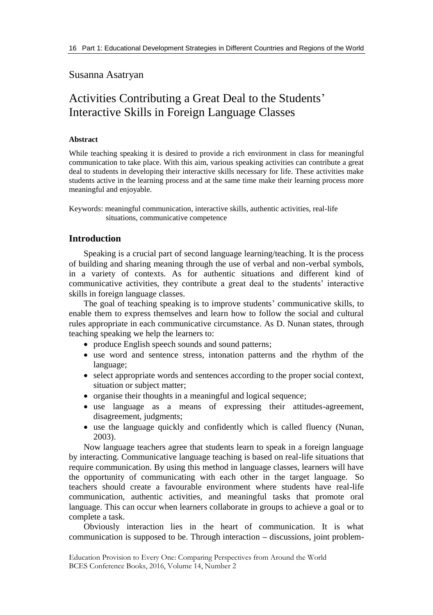# Susanna Asatryan

# Activities Contributing a Great Deal to the Students' Interactive Skills in Foreign Language Classes

## **Abstract**

While teaching speaking it is desired to provide a rich environment in class for meaningful communication to take place. With this aim, various speaking activities can contribute a great deal to students in developing their interactive skills necessary for life. These activities make students active in the learning process and at the same time make their learning process more meaningful and enjoyable.

Keywords: meaningful communication, interactive skills, authentic activities, real-life situations, communicative competence

## **Introduction**

Speaking is a crucial part of second language learning/teaching. It is the process of building and sharing meaning through the use of verbal and non-verbal symbols, in a variety of contexts. As for authentic situations and different kind of communicative activities, they contribute a great deal to the students' interactive skills in foreign language classes.

The goal of teaching speaking is to improve students' communicative skills, to enable them to express themselves and learn how to follow the social and cultural rules appropriate in each communicative circumstance. As D. Nunan states, through teaching speaking we help the learners to:

- produce English speech sounds and sound patterns;
- use word and sentence stress, intonation patterns and the rhythm of the language;
- select appropriate words and sentences according to the proper social context, situation or subject matter;
- organise their thoughts in a meaningful and logical sequence;
- use language as a means of expressing their attitudes-agreement, disagreement, judgments;
- use the language quickly and confidently which is called fluency (Nunan, 2003).

Now language teachers agree that students learn to speak in a foreign language by interacting. Communicative language teaching is based on real-life situations that require communication. By using this method in language classes, learners will have the opportunity of communicating with each other in the target language. So teachers should create a favourable environment where students have real-life communication, authentic activities, and meaningful tasks that promote oral language. This can occur when learners collaborate in groups to achieve a goal or to complete a task.

Obviously interaction lies in the heart of communication. It is what communication is supposed to be. Through interaction **–** discussions, joint problem-

Education Provision to Every One: Comparing Perspectives from Around the World BCES Conference Books, 2016, Volume 14, Number 2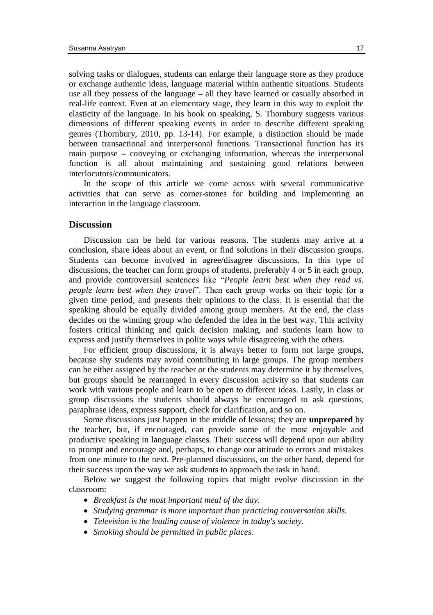solving tasks or dialogues, students can enlarge their language store as they produce or exchange authentic ideas, language material within authentic situations. Students use all they possess of the language **–** all they have learned or casually absorbed in real-life context. Even at an elementary stage, they learn in this way to exploit the elasticity of the language. In his book on speaking, S. Thornbury suggests various dimensions of different speaking events in order to describe different speaking genres (Thornbury, 2010, pp. 13-14). For example, a distinction should be made between transactional and interpersonal functions. Transactional function has its main purpose **–** conveying or exchanging information, whereas the interpersonal function is all about maintaining and sustaining good relations between interlocutors/communicators.

In the scope of this article we come across with several communicative activities that can serve as corner-stones for building and implementing an interaction in the language classroom.

## **Discussion**

Discussion can be held for various reasons. The students may arrive at a conclusion, share ideas about an event, or find solutions in their discussion groups. Students can become involved in agree/disagree discussions. In this type of discussions, the teacher can form groups of students, preferably 4 or 5 in each group, and provide controversial sentences like "*People learn best when they read vs. people learn best when they travel*". Then each group works on their topic for a given time period, and presents their opinions to the class. It is essential that the speaking should be equally divided among group members. At the end, the class decides on the winning group who defended the idea in the best way. This activity fosters critical thinking and quick decision making, and students learn how to express and justify themselves in polite ways while disagreeing with the others.

For efficient group discussions, it is always better to form not large groups, because shy students may avoid contributing in large groups. The group members can be either assigned by the teacher or the students may determine it by themselves, but groups should be rearranged in every discussion activity so that students can work with various people and learn to be open to different ideas. Lastly, in class or group discussions the students should always be encouraged to ask questions, paraphrase ideas, express support, check for clarification, and so on.

Some discussions just happen in the middle of lessons; they are **unprepared** by the teacher, but, if encouraged, can provide some of the most enjoyable and productive speaking in language classes. Their success will depend upon our ability to prompt and encourage and, perhaps, to change our attitude to errors and mistakes from one minute to the next. Pre-planned discussions, on the other hand, depend for their success upon the way we ask students to approach the task in hand.

Below we suggest the following topics that might evolve discussion in the classroom:

- *Breakfast is the most important meal of the day.*
- *Studying grammar is more important than practicing conversation skills.*
- *Television is the leading cause of violence in today's society.*
- *Smoking should be permitted in public places.*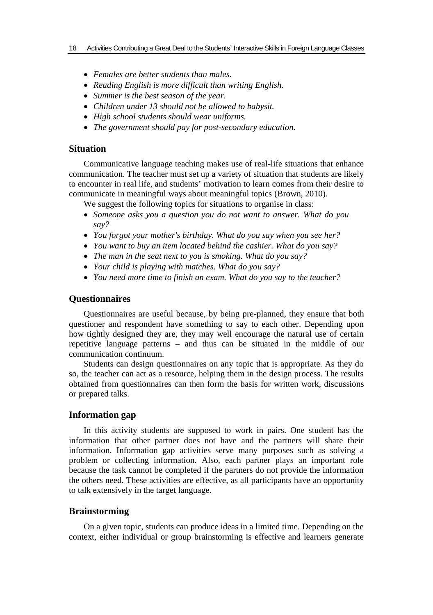- *Females are better students than males.*
- *Reading English is more difficult than writing English.*
- *Summer is the best season of the year.*
- *Children under 13 should not be allowed to babysit.*
- *High school students should wear uniforms.*
- *The government should pay for post-secondary education.*

# **Situation**

Communicative language teaching makes use of real-life situations that enhance communication. The teacher must set up a variety of situation that students are likely to encounter in real life, and students' motivation to learn comes from their desire to communicate in meaningful ways about meaningful topics (Brown, 2010).

We suggest the following topics for situations to organise in class:

- *Someone asks you a question you do not want to answer. What do you say?*
- *You forgot your mother's birthday. What do you say when you see her?*
- *You want to buy an item located behind the cashier. What do you say?*
- *The man in the seat next to you is smoking. What do you say?*
- *Your child is playing with matches. What do you say?*
- *You need more time to finish an exam. What do you say to the teacher?*

#### **Questionnaires**

Questionnaires are useful because, by being pre-planned, they ensure that both questioner and respondent have something to say to each other. Depending upon how tightly designed they are, they may well encourage the natural use of certain repetitive language patterns **–** and thus can be situated in the middle of our communication continuum.

Students can design questionnaires on any topic that is appropriate. As they do so, the teacher can act as a resource, helping them in the design process. The results obtained from questionnaires can then form the basis for written work, discussions or prepared talks.

## **Information gap**

In this activity students are supposed to work in pairs. One student has the information that other partner does not have and the partners will share their information. Information gap activities serve many purposes such as solving a problem or collecting information. Also, each partner plays an important role because the task cannot be completed if the partners do not provide the information the others need. These activities are effective, as all participants have an opportunity to talk extensively in the target language.

## **Brainstorming**

On a given topic, students can produce ideas in a limited time. Depending on the context, either individual or group brainstorming is effective and learners generate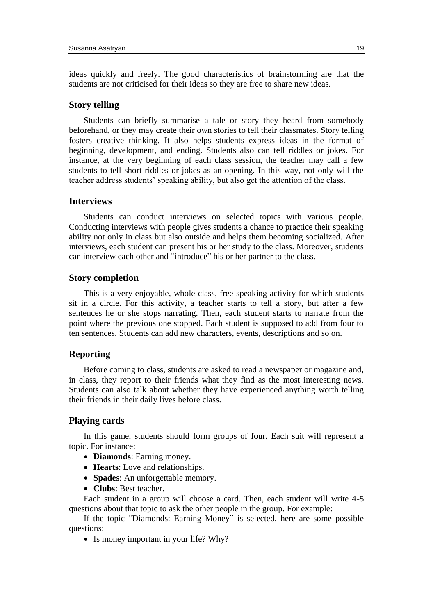ideas quickly and freely. The good characteristics of brainstorming are that the students are not criticised for their ideas so they are free to share new ideas.

### **Story telling**

Students can briefly summarise a tale or story they heard from somebody beforehand, or they may create their own stories to tell their classmates. Story telling fosters creative thinking. It also helps students express ideas in the format of beginning, development, and ending. Students also can tell riddles or jokes. For instance, at the very beginning of each class session, the teacher may call a few students to tell short riddles or jokes as an opening. In this way, not only will the teacher address students' speaking ability, but also get the attention of the class.

#### **Interviews**

Students can conduct interviews on selected topics with various people. Conducting interviews with people gives students a chance to practice their speaking ability not only in class but also outside and helps them becoming socialized. After interviews, each student can present his or her study to the class. Moreover, students can interview each other and "introduce" his or her partner to the class.

#### **Story completion**

This is a very enjoyable, whole-class, free-speaking activity for which students sit in a circle. For this activity, a teacher starts to tell a story, but after a few sentences he or she stops narrating. Then, each student starts to narrate from the point where the previous one stopped. Each student is supposed to add from four to ten sentences. Students can add new characters, events, descriptions and so on.

## **Reporting**

Before coming to class, students are asked to read a newspaper or magazine and, in class, they report to their friends what they find as the most interesting news. Students can also talk about whether they have experienced anything worth telling their friends in their daily lives before class.

## **Playing cards**

In this game, students should form groups of four. Each suit will represent a topic. For instance:

- **Diamonds**: Earning money.
- **Hearts**: Love and relationships.
- **Spades**: An unforgettable memory.
- **Clubs**: Best teacher.

Each student in a group will choose a card. Then, each student will write 4-5 questions about that topic to ask the other people in the group. For example:

If the topic "Diamonds: Earning Money" is selected, here are some possible questions:

• Is money important in your life? Why?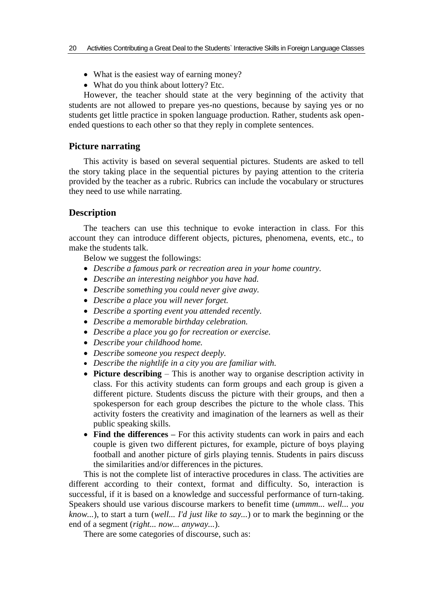- What is the easiest way of earning money?
- What do you think about lottery? Etc.

However, the teacher should state at the very beginning of the activity that students are not allowed to prepare yes-no questions, because by saying yes or no students get little practice in spoken language production. Rather, students ask openended questions to each other so that they reply in complete sentences.

#### **Picture narrating**

This activity is based on several sequential pictures. Students are asked to tell the story taking place in the sequential pictures by paying attention to the criteria provided by the teacher as a rubric. Rubrics can include the vocabulary or structures they need to use while narrating.

#### **Description**

The teachers can use this technique to evoke interaction in class. For this account they can introduce different objects, pictures, phenomena, events, etc., to make the students talk.

Below we suggest the followings:

- *Describe a famous park or recreation area in your home country.*
- *Describe an interesting neighbor you have had.*
- *Describe something you could never give away.*
- *Describe a place you will never forget.*
- *Describe a sporting event you attended recently.*
- *Describe a memorable birthday celebration.*
- *Describe a place you go for recreation or exercise.*
- *Describe your childhood home.*
- *Describe someone you respect deeply.*
- *Describe the nightlife in a city you are familiar with.*
- **Picture describing** This is another way to organise description activity in class. For this activity students can form groups and each group is given a different picture. Students discuss the picture with their groups, and then a spokesperson for each group describes the picture to the whole class. This activity fosters the creativity and imagination of the learners as well as their public speaking skills.
- **Find the differences –** For this activity students can work in pairs and each couple is given two different pictures, for example, picture of boys playing football and another picture of girls playing tennis. Students in pairs discuss the similarities and/or differences in the pictures.

This is not the complete list of interactive procedures in class. The activities are different according to their context, format and difficulty. So, interaction is successful, if it is based on a knowledge and successful performance of turn-taking. Speakers should use various discourse markers to benefit time (*ummm... well... you know...*), to start a turn (*well... I'd just like to say...*) or to mark the beginning or the end of a segment (*right... now... anyway...*).

There are some categories of discourse, such as: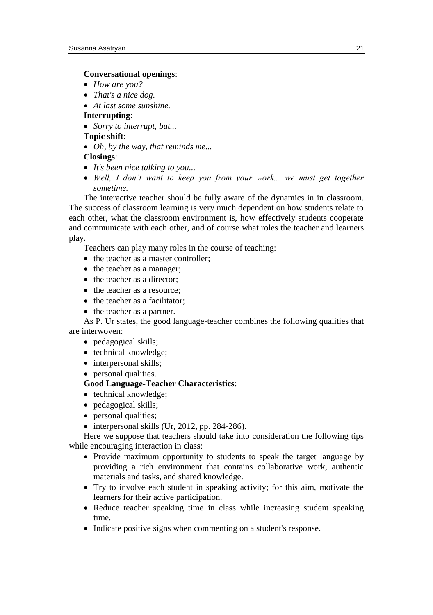#### **Conversational openings**:

- *How are you?*
- *That's a nice dog.*
- *At last some sunshine.*

#### **Interrupting**:

*Sorry to interrupt, but...*

# **Topic shift**:

*Oh, by the way, that reminds me...*

#### **Closings**:

- *It's been nice talking to you...*
- *Well, I don't want to keep you from your work... we must get together sometime.*

The interactive teacher should be fully aware of the dynamics in in classroom. The success of classroom learning is very much dependent on how students relate to each other, what the classroom environment is, how effectively students cooperate and communicate with each other, and of course what roles the teacher and learners play.

Teachers can play many roles in the course of teaching:

- the teacher as a master controller:
- the teacher as a manager:
- the teacher as a director;
- the teacher as a resource:
- $\bullet$  the teacher as a facilitator:
- the teacher as a partner.

As P. Ur states, the good language-teacher combines the following qualities that are interwoven:

- pedagogical skills;
- technical knowledge;
- interpersonal skills;
- personal qualities.

## **Good Language-Teacher Characteristics**:

- technical knowledge;
- pedagogical skills;
- personal qualities;
- $\bullet$  interpersonal skills (Ur, 2012, pp. 284-286).

Here we suppose that teachers should take into consideration the following tips while encouraging interaction in class:

- Provide maximum opportunity to students to speak the target language by providing a rich environment that contains collaborative work, authentic materials and tasks, and shared knowledge.
- Try to involve each student in speaking activity; for this aim, motivate the learners for their active participation.
- Reduce teacher speaking time in class while increasing student speaking time.
- Indicate positive signs when commenting on a student's response.